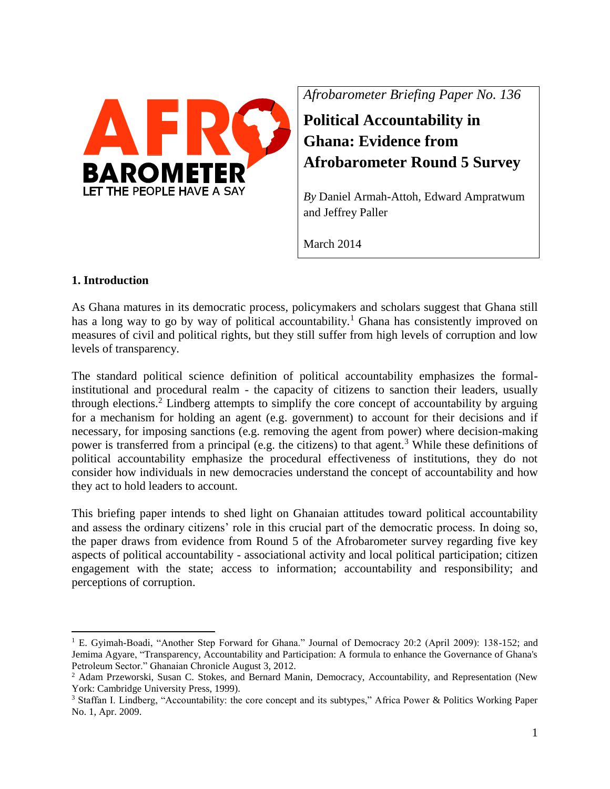

*Afrobarometer Briefing Paper No. 136*

**Political Accountability in Ghana: Evidence from Afrobarometer Round 5 Survey**

*By* Daniel Armah-Attoh, Edward Ampratwum and Jeffrey Paller

March 2014

# **1. Introduction**

 $\overline{\phantom{a}}$ 

As Ghana matures in its democratic process, policymakers and scholars suggest that Ghana still has a long way to go by way of political accountability.<sup>1</sup> Ghana has consistently improved on measures of civil and political rights, but they still suffer from high levels of corruption and low levels of transparency.

The standard political science definition of political accountability emphasizes the formalinstitutional and procedural realm - the capacity of citizens to sanction their leaders, usually through elections.<sup>2</sup> Lindberg attempts to simplify the core concept of accountability by arguing for a mechanism for holding an agent (e.g. government) to account for their decisions and if necessary, for imposing sanctions (e.g. removing the agent from power) where decision-making power is transferred from a principal (e.g. the citizens) to that agent.<sup>3</sup> While these definitions of political accountability emphasize the procedural effectiveness of institutions, they do not consider how individuals in new democracies understand the concept of accountability and how they act to hold leaders to account.

This briefing paper intends to shed light on Ghanaian attitudes toward political accountability and assess the ordinary citizens' role in this crucial part of the democratic process. In doing so, the paper draws from evidence from Round 5 of the Afrobarometer survey regarding five key aspects of political accountability - associational activity and local political participation; citizen engagement with the state; access to information; accountability and responsibility; and perceptions of corruption.

<sup>&</sup>lt;sup>1</sup> E. Gyimah-Boadi, "Another Step Forward for Ghana." Journal of Democracy 20:2 (April 2009): 138-152; and Jemima Agyare, "Transparency, Accountability and Participation: A formula to enhance the Governance of Ghana's Petroleum Sector." Ghanaian Chronicle August 3, 2012.

<sup>&</sup>lt;sup>2</sup> Adam Przeworski, Susan C. Stokes, and Bernard Manin, Democracy, Accountability, and Representation (New York: Cambridge University Press, 1999).

<sup>&</sup>lt;sup>3</sup> Staffan I. Lindberg, "Accountability: the core concept and its subtypes," Africa Power & Politics Working Paper No. 1, Apr. 2009.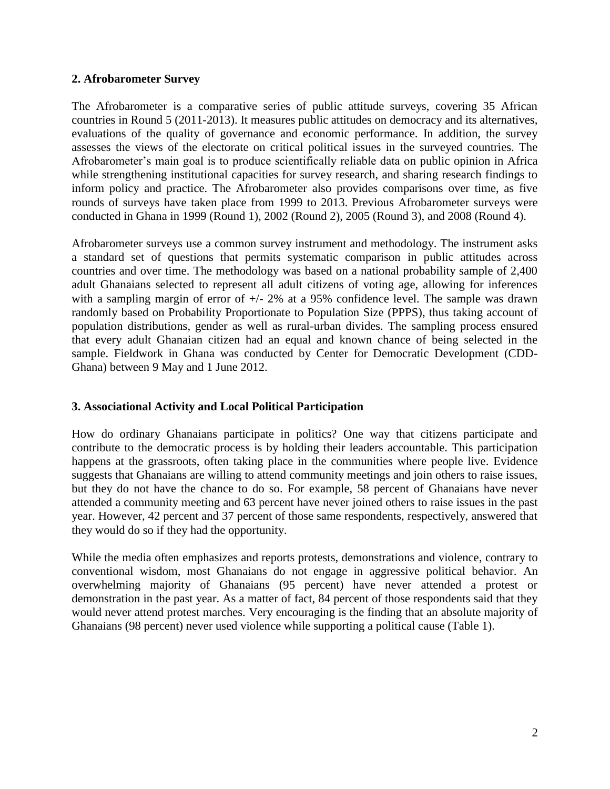### **2. Afrobarometer Survey**

The Afrobarometer is a comparative series of public attitude surveys, covering 35 African countries in Round 5 (2011-2013). It measures public attitudes on democracy and its alternatives, evaluations of the quality of governance and economic performance. In addition, the survey assesses the views of the electorate on critical political issues in the surveyed countries. The Afrobarometer's main goal is to produce scientifically reliable data on public opinion in Africa while strengthening institutional capacities for survey research, and sharing research findings to inform policy and practice. The Afrobarometer also provides comparisons over time, as five rounds of surveys have taken place from 1999 to 2013. Previous Afrobarometer surveys were conducted in Ghana in 1999 (Round 1), 2002 (Round 2), 2005 (Round 3), and 2008 (Round 4).

Afrobarometer surveys use a common survey instrument and methodology. The instrument asks a standard set of questions that permits systematic comparison in public attitudes across countries and over time. The methodology was based on a national probability sample of 2,400 adult Ghanaians selected to represent all adult citizens of voting age, allowing for inferences with a sampling margin of error of  $+/- 2\%$  at a 95% confidence level. The sample was drawn randomly based on Probability Proportionate to Population Size (PPPS), thus taking account of population distributions, gender as well as rural-urban divides. The sampling process ensured that every adult Ghanaian citizen had an equal and known chance of being selected in the sample. Fieldwork in Ghana was conducted by Center for Democratic Development (CDD-Ghana) between 9 May and 1 June 2012.

## **3. Associational Activity and Local Political Participation**

How do ordinary Ghanaians participate in politics? One way that citizens participate and contribute to the democratic process is by holding their leaders accountable. This participation happens at the grassroots, often taking place in the communities where people live. Evidence suggests that Ghanaians are willing to attend community meetings and join others to raise issues, but they do not have the chance to do so. For example, 58 percent of Ghanaians have never attended a community meeting and 63 percent have never joined others to raise issues in the past year. However, 42 percent and 37 percent of those same respondents, respectively, answered that they would do so if they had the opportunity.

While the media often emphasizes and reports protests, demonstrations and violence, contrary to conventional wisdom, most Ghanaians do not engage in aggressive political behavior. An overwhelming majority of Ghanaians (95 percent) have never attended a protest or demonstration in the past year. As a matter of fact, 84 percent of those respondents said that they would never attend protest marches. Very encouraging is the finding that an absolute majority of Ghanaians (98 percent) never used violence while supporting a political cause (Table 1).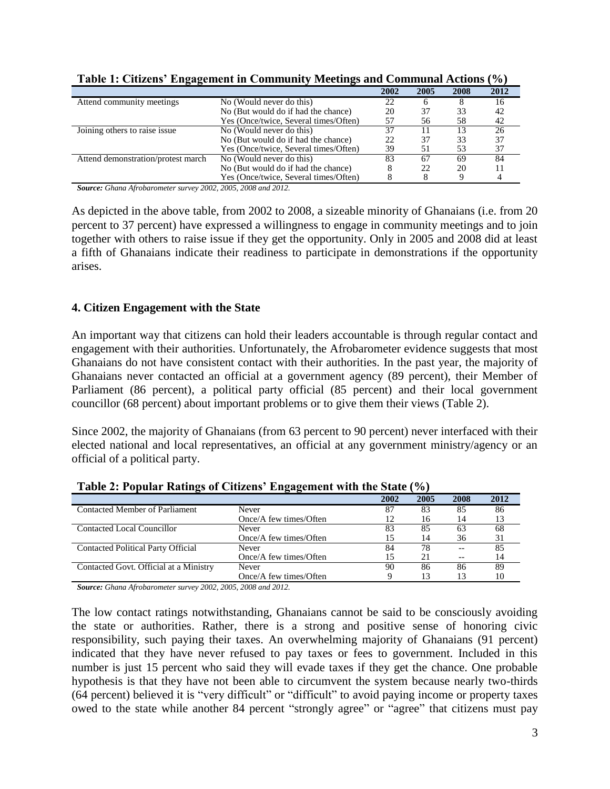| ັັ                                 |                                       | 2002 | 2005 | 2008 | 2012 |
|------------------------------------|---------------------------------------|------|------|------|------|
| Attend community meetings          | No (Would never do this)              |      |      |      | 16   |
|                                    | No (But would do if had the chance)   | 20   | 37   | 33   | 42   |
|                                    | Yes (Once/twice, Several times/Often) | 57   | 56   | 58   | 42   |
| Joining others to raise issue      | No (Would never do this)              |      |      | 13   | 26   |
|                                    | No (But would do if had the chance)   | 22   | 37   | 33   | 37   |
|                                    | Yes (Once/twice, Several times/Often) | 39   |      | 53   | 37   |
| Attend demonstration/protest march | No (Would never do this)              | 83   | 67   | 69   | 84   |
|                                    | No (But would do if had the chance)   |      | 22   | 20   |      |
|                                    | Yes (Once/twice, Several times/Often) |      |      |      |      |

**Table 1: Citizens' Engagement in Community Meetings and Communal Actions (%)** 

*Source: Ghana Afrobarometer survey 2002, 2005, 2008 and 2012.*

As depicted in the above table, from 2002 to 2008, a sizeable minority of Ghanaians (i.e. from 20 percent to 37 percent) have expressed a willingness to engage in community meetings and to join together with others to raise issue if they get the opportunity. Only in 2005 and 2008 did at least a fifth of Ghanaians indicate their readiness to participate in demonstrations if the opportunity arises.

### **4. Citizen Engagement with the State**

An important way that citizens can hold their leaders accountable is through regular contact and engagement with their authorities. Unfortunately, the Afrobarometer evidence suggests that most Ghanaians do not have consistent contact with their authorities. In the past year, the majority of Ghanaians never contacted an official at a government agency (89 percent), their Member of Parliament (86 percent), a political party official (85 percent) and their local government councillor (68 percent) about important problems or to give them their views (Table 2).

Since 2002, the majority of Ghanaians (from 63 percent to 90 percent) never interfaced with their elected national and local representatives, an official at any government ministry/agency or an official of a political party.

| -                                         | - -                    |      |      |      |      |
|-------------------------------------------|------------------------|------|------|------|------|
|                                           |                        | 2002 | 2005 | 2008 | 2012 |
| Contacted Member of Parliament            | <b>Never</b>           |      | 83   | 85   | 86   |
|                                           | Once/A few times/Often | 12   | 16   | 14   |      |
| Contacted Local Councillor                | <b>Never</b>           | 83   | 85   | 63   | 68   |
|                                           | Once/A few times/Often |      | 14   | 36   | 31   |
| <b>Contacted Political Party Official</b> | <b>Never</b>           | 84   | 78   |      | 85   |
|                                           | Once/A few times/Often |      |      |      | 14   |
| Contacted Govt. Official at a Ministry    | <b>Never</b>           | 90   | 86   | 86   | 89   |
|                                           | Once/A few times/Often |      | 13   |      | 10   |

**Table 2: Popular Ratings of Citizens' Engagement with the State (%)** 

*Source: Ghana Afrobarometer survey 2002, 2005, 2008 and 2012.*

The low contact ratings notwithstanding, Ghanaians cannot be said to be consciously avoiding the state or authorities. Rather, there is a strong and positive sense of honoring civic responsibility, such paying their taxes. An overwhelming majority of Ghanaians (91 percent) indicated that they have never refused to pay taxes or fees to government. Included in this number is just 15 percent who said they will evade taxes if they get the chance. One probable hypothesis is that they have not been able to circumvent the system because nearly two-thirds (64 percent) believed it is "very difficult" or "difficult" to avoid paying income or property taxes owed to the state while another 84 percent "strongly agree" or "agree" that citizens must pay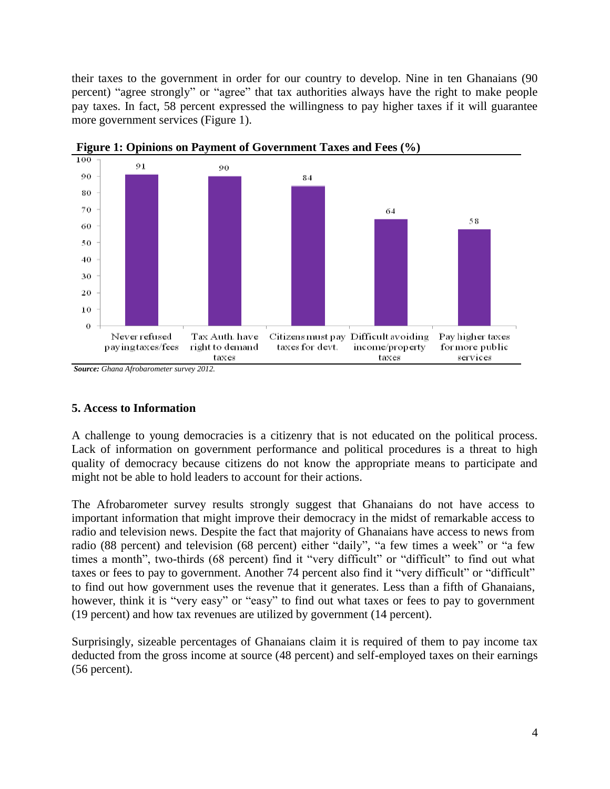their taxes to the government in order for our country to develop. Nine in ten Ghanaians (90 percent) "agree strongly" or "agree" that tax authorities always have the right to make people pay taxes. In fact, 58 percent expressed the willingness to pay higher taxes if it will guarantee more government services (Figure 1).





*Source: Ghana Afrobarometer survey 2012.*

## **5. Access to Information**

A challenge to young democracies is a citizenry that is not educated on the political process. Lack of information on government performance and political procedures is a threat to high quality of democracy because citizens do not know the appropriate means to participate and might not be able to hold leaders to account for their actions.

The Afrobarometer survey results strongly suggest that Ghanaians do not have access to important information that might improve their democracy in the midst of remarkable access to radio and television news. Despite the fact that majority of Ghanaians have access to news from radio (88 percent) and television (68 percent) either "daily", "a few times a week" or "a few times a month", two-thirds (68 percent) find it "very difficult" or "difficult" to find out what taxes or fees to pay to government. Another 74 percent also find it "very difficult" or "difficult" to find out how government uses the revenue that it generates. Less than a fifth of Ghanaians, however, think it is "very easy" or "easy" to find out what taxes or fees to pay to government (19 percent) and how tax revenues are utilized by government (14 percent).

Surprisingly, sizeable percentages of Ghanaians claim it is required of them to pay income tax deducted from the gross income at source (48 percent) and self-employed taxes on their earnings (56 percent).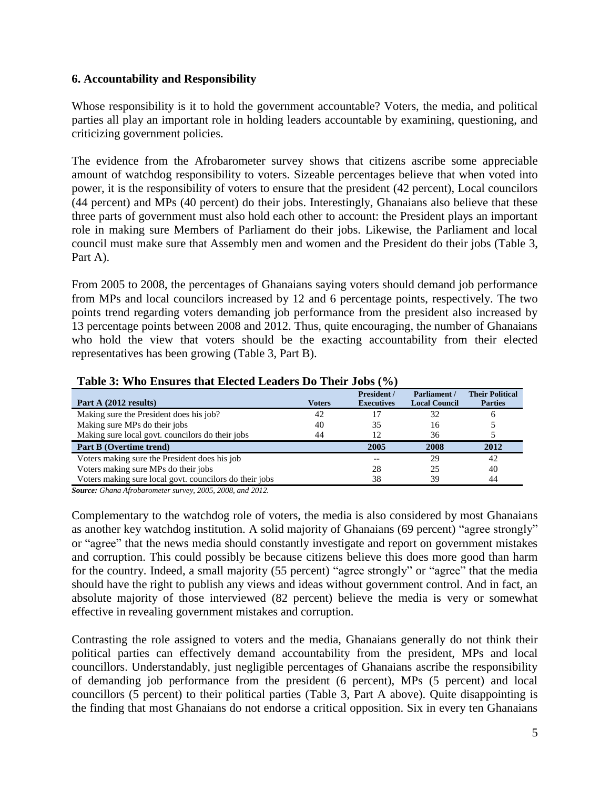### **6. Accountability and Responsibility**

Whose responsibility is it to hold the government accountable? Voters, the media, and political parties all play an important role in holding leaders accountable by examining, questioning, and criticizing government policies.

The evidence from the Afrobarometer survey shows that citizens ascribe some appreciable amount of watchdog responsibility to voters. Sizeable percentages believe that when voted into power, it is the responsibility of voters to ensure that the president (42 percent), Local councilors (44 percent) and MPs (40 percent) do their jobs. Interestingly, Ghanaians also believe that these three parts of government must also hold each other to account: the President plays an important role in making sure Members of Parliament do their jobs. Likewise, the Parliament and local council must make sure that Assembly men and women and the President do their jobs (Table 3, Part A).

From 2005 to 2008, the percentages of Ghanaians saying voters should demand job performance from MPs and local councilors increased by 12 and 6 percentage points, respectively. The two points trend regarding voters demanding job performance from the president also increased by 13 percentage points between 2008 and 2012. Thus, quite encouraging, the number of Ghanaians who hold the view that voters should be the exacting accountability from their elected representatives has been growing (Table 3, Part B).

| Part A (2012 results)                                   | <b>Voters</b> | President /<br><b>Executives</b> | Parliament /<br><b>Local Council</b> | <b>Their Political</b><br><b>Parties</b> |
|---------------------------------------------------------|---------------|----------------------------------|--------------------------------------|------------------------------------------|
| Making sure the President does his job?                 | 42            |                                  | 32                                   |                                          |
| Making sure MPs do their jobs                           | 40            | 35                               | 16                                   |                                          |
| Making sure local govt. councilors do their jobs        | 44            | 12                               | 36                                   |                                          |
| Part B (Overtime trend)                                 |               | 2005                             | 2008                                 | 2012                                     |
| Voters making sure the President does his job           |               | $-$                              | 29                                   | 42                                       |
| Voters making sure MPs do their jobs                    |               | 28                               | 25                                   | 40                                       |
| Voters making sure local govt. councilors do their jobs |               | 38                               | 39                                   | 44                                       |

#### **Table 3: Who Ensures that Elected Leaders Do Their Jobs (%)**

*Source: Ghana Afrobarometer survey, 2005, 2008, and 2012.*

Complementary to the watchdog role of voters, the media is also considered by most Ghanaians as another key watchdog institution. A solid majority of Ghanaians (69 percent) "agree strongly" or "agree" that the news media should constantly investigate and report on government mistakes and corruption. This could possibly be because citizens believe this does more good than harm for the country. Indeed, a small majority (55 percent) "agree strongly" or "agree" that the media should have the right to publish any views and ideas without government control. And in fact, an absolute majority of those interviewed (82 percent) believe the media is very or somewhat effective in revealing government mistakes and corruption.

Contrasting the role assigned to voters and the media, Ghanaians generally do not think their political parties can effectively demand accountability from the president, MPs and local councillors. Understandably, just negligible percentages of Ghanaians ascribe the responsibility of demanding job performance from the president (6 percent), MPs (5 percent) and local councillors (5 percent) to their political parties (Table 3, Part A above). Quite disappointing is the finding that most Ghanaians do not endorse a critical opposition. Six in every ten Ghanaians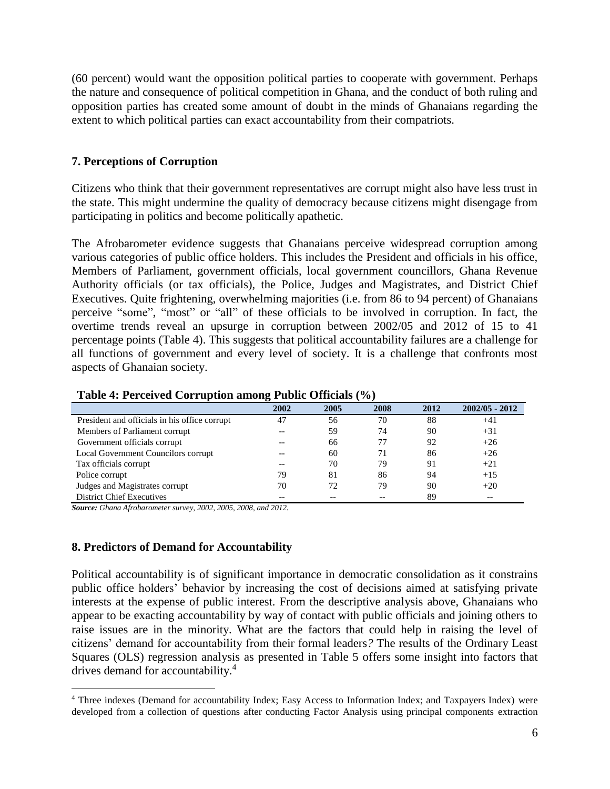(60 percent) would want the opposition political parties to cooperate with government. Perhaps the nature and consequence of political competition in Ghana, and the conduct of both ruling and opposition parties has created some amount of doubt in the minds of Ghanaians regarding the extent to which political parties can exact accountability from their compatriots.

## **7. Perceptions of Corruption**

Citizens who think that their government representatives are corrupt might also have less trust in the state. This might undermine the quality of democracy because citizens might disengage from participating in politics and become politically apathetic.

The Afrobarometer evidence suggests that Ghanaians perceive widespread corruption among various categories of public office holders. This includes the President and officials in his office, Members of Parliament, government officials, local government councillors, Ghana Revenue Authority officials (or tax officials), the Police, Judges and Magistrates, and District Chief Executives. Quite frightening, overwhelming majorities (i.e. from 86 to 94 percent) of Ghanaians perceive "some", "most" or "all" of these officials to be involved in corruption. In fact, the overtime trends reveal an upsurge in corruption between 2002/05 and 2012 of 15 to 41 percentage points (Table 4). This suggests that political accountability failures are a challenge for all functions of government and every level of society. It is a challenge that confronts most aspects of Ghanaian society.

|                                               | ີ<br>2002 | 2005 | 2008 | 2012 | $2002/05 - 2012$ |
|-----------------------------------------------|-----------|------|------|------|------------------|
| President and officials in his office corrupt | 47        | 56   | 70   | 88   | $+41$            |
| Members of Parliament corrupt                 |           | 59   | 74   | 90   | $+31$            |
| Government officials corrupt                  |           | 66   |      | 92   | $+26$            |
| Local Government Councilors corrupt           |           | 60   |      | 86   | $+26$            |
| Tax officials corrupt                         |           | 70   | 79   | 91   | $+21$            |
| Police corrupt                                | 79        | 81   | 86   | 94   | $+15$            |
| Judges and Magistrates corrupt                | 70        |      | 79   | 90   | $+20$            |
| <b>District Chief Executives</b>              |           |      |      | 89   |                  |

#### **Table 4: Perceived Corruption among Public Officials (%)**

*Source: Ghana Afrobarometer survey, 2002, 2005, 2008, and 2012.*

### **8. Predictors of Demand for Accountability**

 $\overline{\phantom{a}}$ 

Political accountability is of significant importance in democratic consolidation as it constrains public office holders' behavior by increasing the cost of decisions aimed at satisfying private interests at the expense of public interest. From the descriptive analysis above, Ghanaians who appear to be exacting accountability by way of contact with public officials and joining others to raise issues are in the minority. What are the factors that could help in raising the level of citizens' demand for accountability from their formal leaders*?* The results of the Ordinary Least Squares (OLS) regression analysis as presented in Table 5 offers some insight into factors that drives demand for accountability.<sup>4</sup>

<sup>4</sup> Three indexes (Demand for accountability Index; Easy Access to Information Index; and Taxpayers Index) were developed from a collection of questions after conducting Factor Analysis using principal components extraction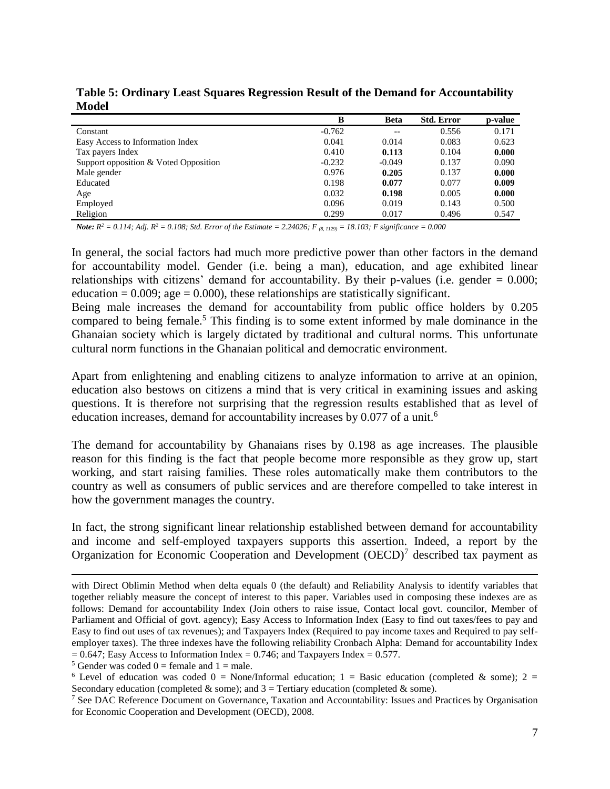|                                       | B        | <b>Beta</b> | <b>Std. Error</b> | p-value |
|---------------------------------------|----------|-------------|-------------------|---------|
| Constant                              | $-0.762$ | --          | 0.556             | 0.171   |
| Easy Access to Information Index      | 0.041    | 0.014       | 0.083             | 0.623   |
| Tax payers Index                      | 0.410    | 0.113       | 0.104             | 0.000   |
| Support opposition & Voted Opposition | $-0.232$ | $-0.049$    | 0.137             | 0.090   |
| Male gender                           | 0.976    | 0.205       | 0.137             | 0.000   |
| Educated                              | 0.198    | 0.077       | 0.077             | 0.009   |
| Age                                   | 0.032    | 0.198       | 0.005             | 0.000   |
| Employed                              | 0.096    | 0.019       | 0.143             | 0.500   |
| Religion                              | 0.299    | 0.017       | 0.496             | 0.547   |

**Table 5: Ordinary Least Squares Regression Result of the Demand for Accountability Model**

*Note:*  $R^2 = 0.114$ ; Adj.  $R^2 = 0.108$ ; Std. Error of the Estimate = 2.24026; F<sub>(8, 1129)</sub> = 18.103; F significance = 0.000

In general, the social factors had much more predictive power than other factors in the demand for accountability model. Gender (i.e. being a man), education, and age exhibited linear relationships with citizens' demand for accountability. By their p-values (i.e. gender  $= 0.000$ ; education =  $0.009$ ; age =  $0.000$ ), these relationships are statistically significant.

Being male increases the demand for accountability from public office holders by 0.205 compared to being female.<sup>5</sup> This finding is to some extent informed by male dominance in the Ghanaian society which is largely dictated by traditional and cultural norms. This unfortunate cultural norm functions in the Ghanaian political and democratic environment.

Apart from enlightening and enabling citizens to analyze information to arrive at an opinion, education also bestows on citizens a mind that is very critical in examining issues and asking questions. It is therefore not surprising that the regression results established that as level of education increases, demand for accountability increases by 0.077 of a unit.<sup>6</sup>

The demand for accountability by Ghanaians rises by 0.198 as age increases. The plausible reason for this finding is the fact that people become more responsible as they grow up, start working, and start raising families. These roles automatically make them contributors to the country as well as consumers of public services and are therefore compelled to take interest in how the government manages the country.

In fact, the strong significant linear relationship established between demand for accountability and income and self-employed taxpayers supports this assertion. Indeed, a report by the Organization for Economic Cooperation and Development  $(OECD)^7$  described tax payment as

 $\overline{a}$ 

with Direct Oblimin Method when delta equals 0 (the default) and Reliability Analysis to identify variables that together reliably measure the concept of interest to this paper. Variables used in composing these indexes are as follows: Demand for accountability Index (Join others to raise issue, Contact local govt. councilor, Member of Parliament and Official of govt. agency); Easy Access to Information Index (Easy to find out taxes/fees to pay and Easy to find out uses of tax revenues); and Taxpayers Index (Required to pay income taxes and Required to pay selfemployer taxes). The three indexes have the following reliability Cronbach Alpha: Demand for accountability Index  $= 0.647$ ; Easy Access to Information Index  $= 0.746$ ; and Taxpayers Index  $= 0.577$ .

<sup>&</sup>lt;sup>5</sup> Gender was coded  $0 =$  female and  $1 =$  male.

<sup>&</sup>lt;sup>6</sup> Level of education was coded  $0 = \text{None/Informal education}$ ;  $1 = \text{Basic education (completed & some)}$ ;  $2 =$ Secondary education (completed  $\&$  some); and  $3$  = Tertiary education (completed  $\&$  some).

<sup>7</sup> See DAC Reference Document on Governance, Taxation and Accountability: Issues and Practices by Organisation for Economic Cooperation and Development (OECD), 2008.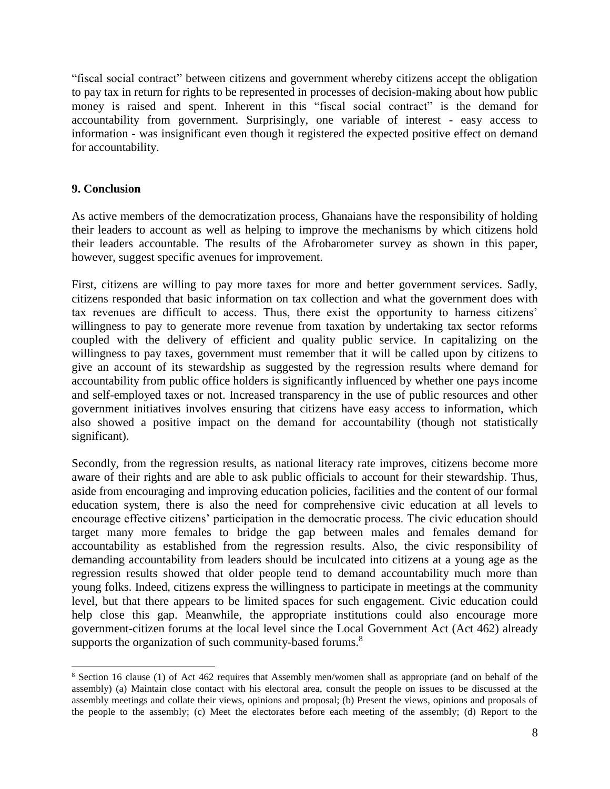"fiscal social contract" between citizens and government whereby citizens accept the obligation to pay tax in return for rights to be represented in processes of decision-making about how public money is raised and spent. Inherent in this "fiscal social contract" is the demand for accountability from government. Surprisingly, one variable of interest - easy access to information - was insignificant even though it registered the expected positive effect on demand for accountability.

## **9. Conclusion**

 $\overline{\phantom{a}}$ 

As active members of the democratization process, Ghanaians have the responsibility of holding their leaders to account as well as helping to improve the mechanisms by which citizens hold their leaders accountable. The results of the Afrobarometer survey as shown in this paper, however, suggest specific avenues for improvement.

First, citizens are willing to pay more taxes for more and better government services. Sadly, citizens responded that basic information on tax collection and what the government does with tax revenues are difficult to access. Thus, there exist the opportunity to harness citizens' willingness to pay to generate more revenue from taxation by undertaking tax sector reforms coupled with the delivery of efficient and quality public service. In capitalizing on the willingness to pay taxes, government must remember that it will be called upon by citizens to give an account of its stewardship as suggested by the regression results where demand for accountability from public office holders is significantly influenced by whether one pays income and self-employed taxes or not. Increased transparency in the use of public resources and other government initiatives involves ensuring that citizens have easy access to information, which also showed a positive impact on the demand for accountability (though not statistically significant).

Secondly, from the regression results, as national literacy rate improves, citizens become more aware of their rights and are able to ask public officials to account for their stewardship. Thus, aside from encouraging and improving education policies, facilities and the content of our formal education system, there is also the need for comprehensive civic education at all levels to encourage effective citizens' participation in the democratic process. The civic education should target many more females to bridge the gap between males and females demand for accountability as established from the regression results. Also, the civic responsibility of demanding accountability from leaders should be inculcated into citizens at a young age as the regression results showed that older people tend to demand accountability much more than young folks. Indeed, citizens express the willingness to participate in meetings at the community level, but that there appears to be limited spaces for such engagement. Civic education could help close this gap. Meanwhile, the appropriate institutions could also encourage more government-citizen forums at the local level since the Local Government Act (Act 462) already supports the organization of such community-based forums.<sup>8</sup>

<sup>8</sup> Section 16 clause (1) of Act 462 requires that Assembly men/women shall as appropriate (and on behalf of the assembly) (a) Maintain close contact with his electoral area, consult the people on issues to be discussed at the assembly meetings and collate their views, opinions and proposal; (b) Present the views, opinions and proposals of the people to the assembly; (c) Meet the electorates before each meeting of the assembly; (d) Report to the